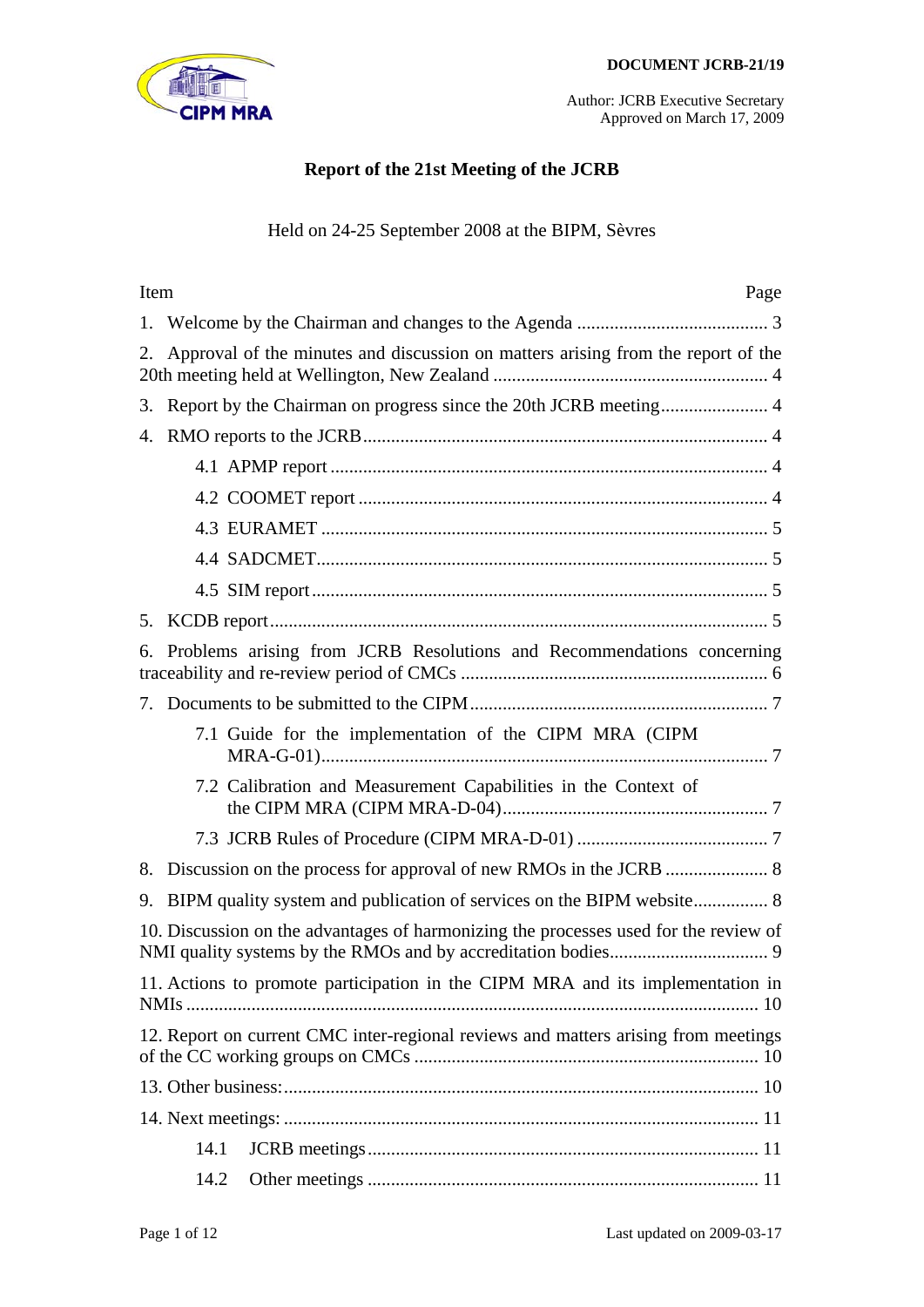

# **Report of the 21st Meeting of the JCRB**

# Held on 24-25 September 2008 at the BIPM, Sèvres

| Item<br>Page                                                                           |
|----------------------------------------------------------------------------------------|
| 1.                                                                                     |
| Approval of the minutes and discussion on matters arising from the report of the<br>2. |
| 3.                                                                                     |
| 4.                                                                                     |
|                                                                                        |
|                                                                                        |
|                                                                                        |
|                                                                                        |
|                                                                                        |
|                                                                                        |
| Problems arising from JCRB Resolutions and Recommendations concerning<br>6.            |
|                                                                                        |
| 7.1 Guide for the implementation of the CIPM MRA (CIPM                                 |
| 7.2 Calibration and Measurement Capabilities in the Context of                         |
|                                                                                        |
| 8.                                                                                     |
| 9.                                                                                     |
| 10. Discussion on the advantages of harmonizing the processes used for the review of   |
| 11. Actions to promote participation in the CIPM MRA and its implementation in         |
| 12. Report on current CMC inter-regional reviews and matters arising from meetings     |
|                                                                                        |
|                                                                                        |
| 14.1                                                                                   |
| 14.2                                                                                   |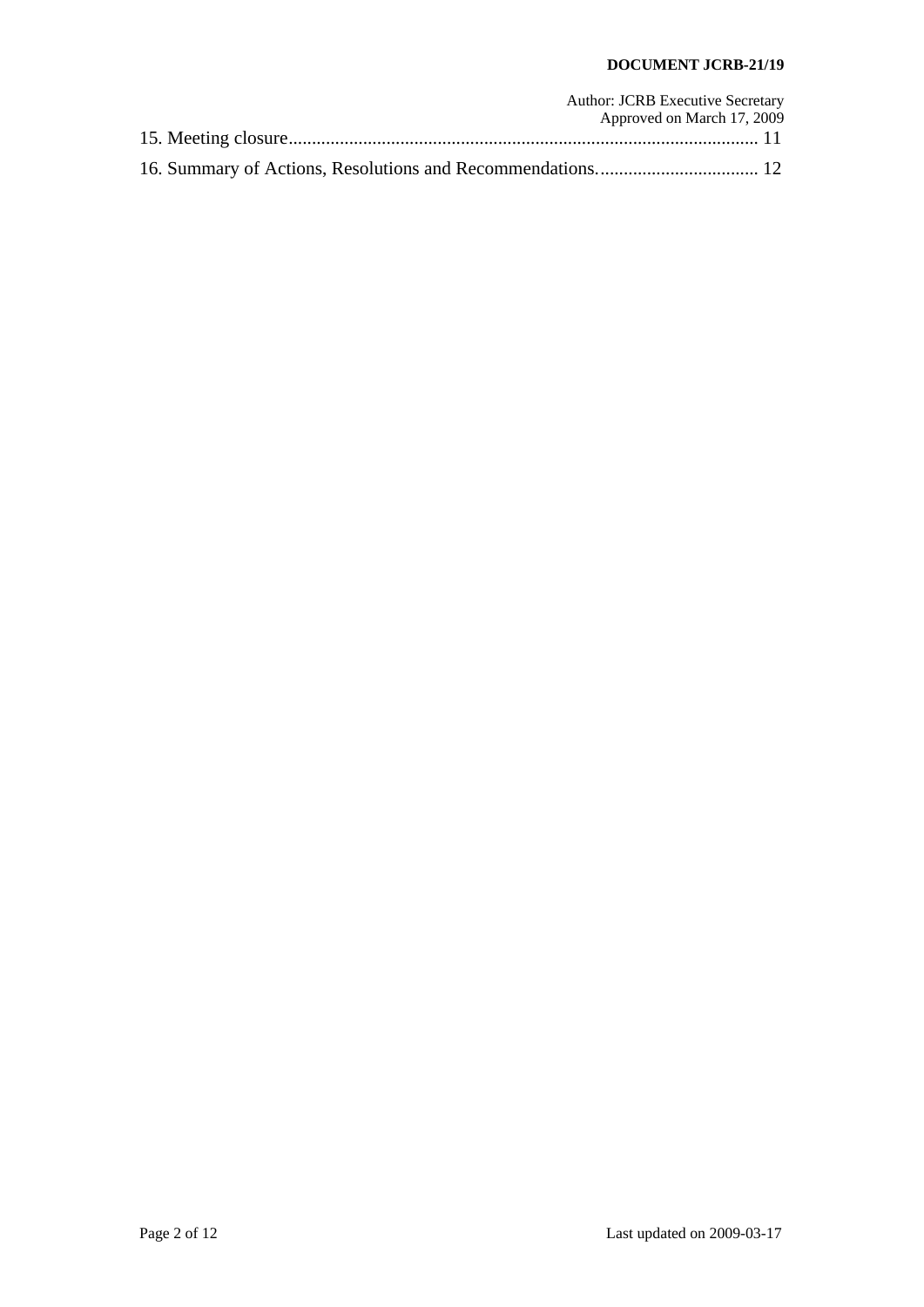### **DOCUMENT JCRB-21/19**

| <b>Author: JCRB Executive Secretary</b> |
|-----------------------------------------|
| Approved on March 17, 2009              |
|                                         |
|                                         |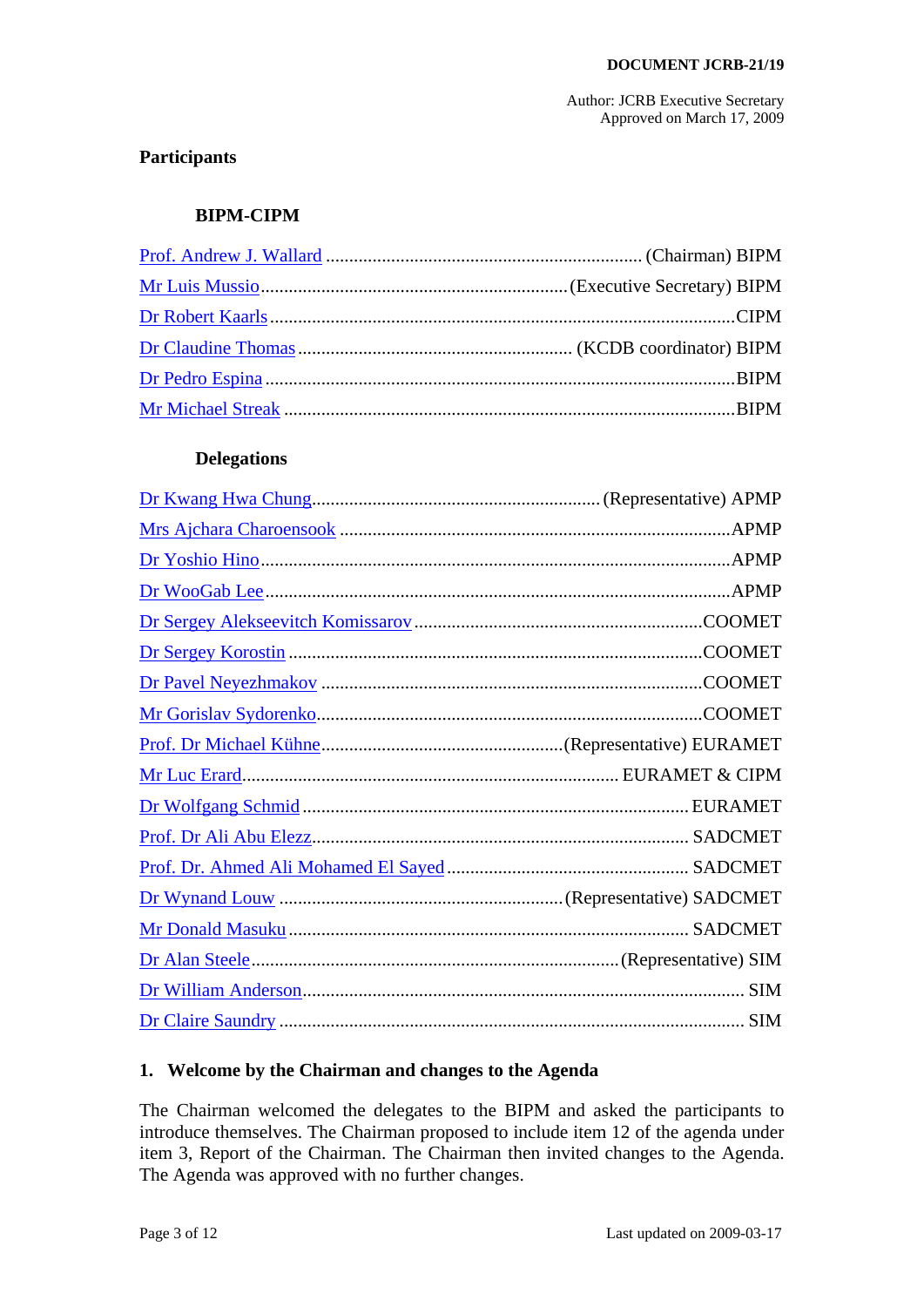# **Participants**

### **BIPM-CIPM**

#### **Delegations**

# <span id="page-2-0"></span>**1. Welcome by the Chairman and changes to the Agenda**

The Chairman welcomed the delegates to the BIPM and asked the participants to introduce themselves. The Chairman proposed to include item 12 of the agenda under item 3, Report of the Chairman. The Chairman then invited changes to the Agenda. The Agenda was approved with no further changes.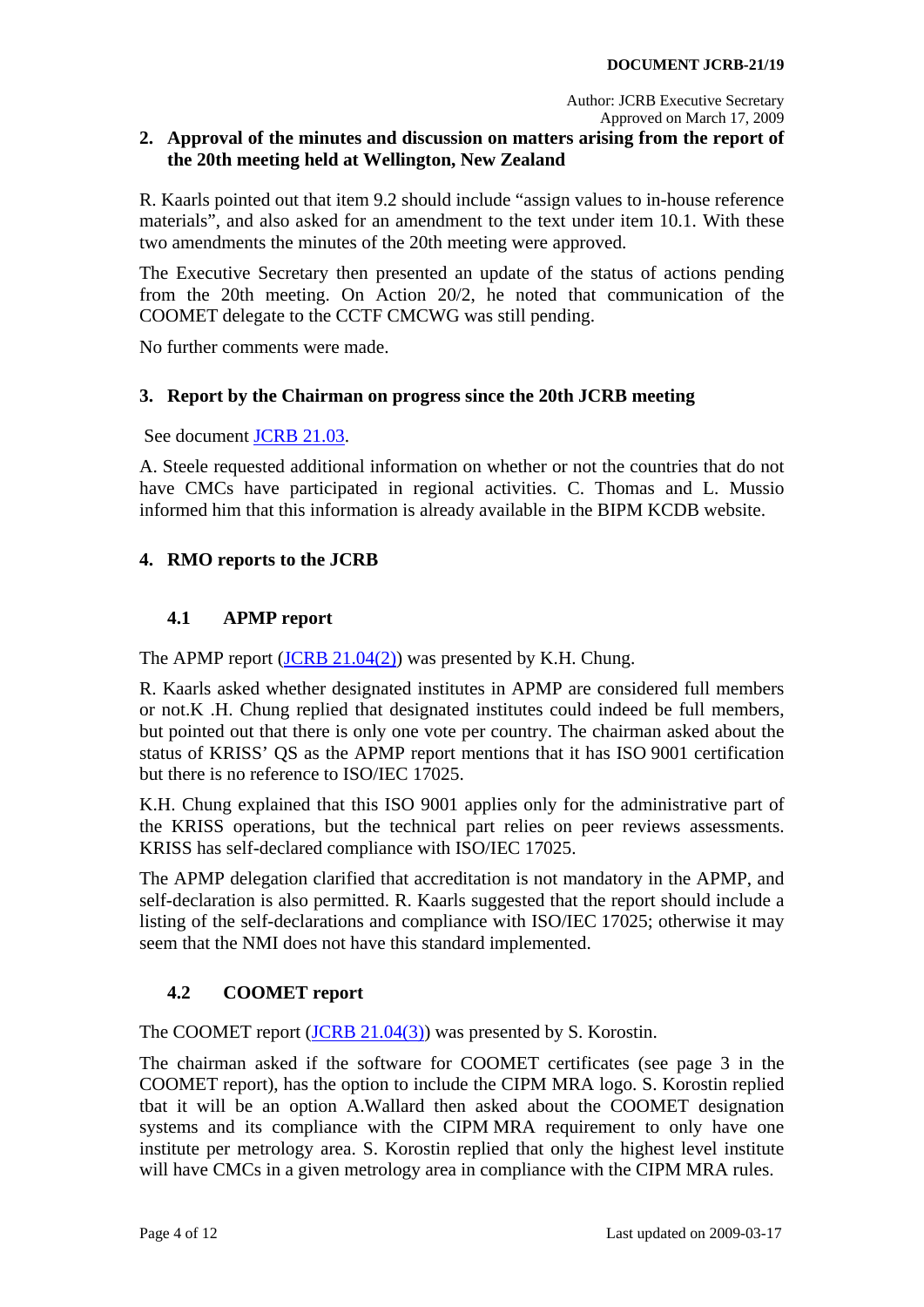# <span id="page-3-0"></span>**2. Approval of the minutes and discussion on matters arising from the report of the 20th meeting held at Wellington, New Zealand**

R. Kaarls pointed out that item 9.2 should include "assign values to in-house reference materials", and also asked for an amendment to the text under item 10.1. With these two amendments the minutes of the 20th meeting were approved.

The Executive Secretary then presented an update of the status of actions pending from the 20th meeting. On Action 20/2, he noted that communication of the COOMET delegate to the CCTF CMCWG was still pending.

No further comments were made.

### <span id="page-3-1"></span>**3. Report by the Chairman on progress since the 20th JCRB meeting**

See document [JCRB 21.03](http://www.bipm.org/cc/JCRB/Restricted/20/20.02.Chairman_Report.ppt).

A. Steele requested additional information on whether or not the countries that do not have CMCs have participated in regional activities. C. Thomas and L. Mussio informed him that this information is already available in the BIPM KCDB website.

# <span id="page-3-2"></span>**4. RMO reports to the JCRB**

# **4.1 APMP report**

<span id="page-3-3"></span>The APMP report ([JCRB 21.04\(2\)\)](http://www.bipm.org/cc/JCRB/Restricted/20/20.14.2.APMP_report.zip) was presented by K.H. Chung.

R. Kaarls asked whether designated institutes in APMP are considered full members or not.K .H. Chung replied that designated institutes could indeed be full members, but pointed out that there is only one vote per country. The chairman asked about the status of KRISS' QS as the APMP report mentions that it has ISO 9001 certification but there is no reference to ISO/IEC 17025.

K.H. Chung explained that this ISO 9001 applies only for the administrative part of the KRISS operations, but the technical part relies on peer reviews assessments. KRISS has self-declared compliance with ISO/IEC 17025.

The APMP delegation clarified that accreditation is not mandatory in the APMP, and self-declaration is also permitted. R. Kaarls suggested that the report should include a listing of the self-declarations and compliance with ISO/IEC 17025; otherwise it may seem that the NMI does not have this standard implemented.

# **4.2 COOMET report**

<span id="page-3-4"></span>The COOMET report ([JCRB 21.04\(3\)](http://www.bipm.org/cc/JCRB/Restricted/20/20.14.3.COOMET_report.pdf)) was presented by S. Korostin.

The chairman asked if the software for COOMET certificates (see page 3 in the COOMET report), has the option to include the CIPM MRA logo. S. Korostin replied tbat it will be an option A.Wallard then asked about the COOMET designation systems and its compliance with the CIPM MRA requirement to only have one institute per metrology area. S. Korostin replied that only the highest level institute will have CMCs in a given metrology area in compliance with the CIPM MRA rules.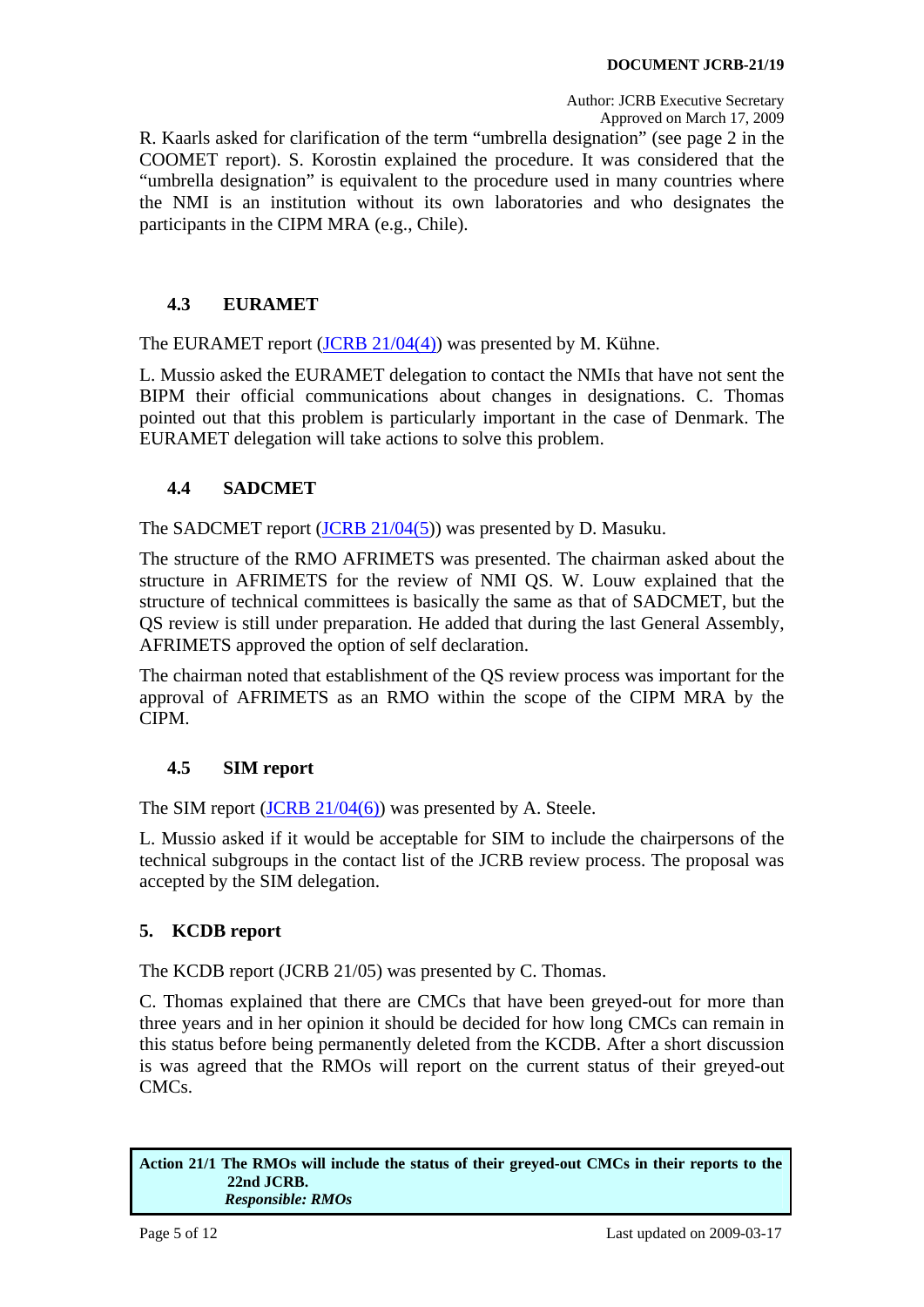R. Kaarls asked for clarification of the term "umbrella designation" (see page 2 in the COOMET report). S. Korostin explained the procedure. It was considered that the "umbrella designation" is equivalent to the procedure used in many countries where the NMI is an institution without its own laboratories and who designates the participants in the CIPM MRA (e.g., Chile).

# **4.3 EURAMET**

<span id="page-4-0"></span>The EURAMET report [\(JCRB 21/04\(4\)](http://www.bipm.org/cc/JCRB/Restricted/20/20.14.4.EURAMET_report.zip)) was presented by M. Kühne.

L. Mussio asked the EURAMET delegation to contact the NMIs that have not sent the BIPM their official communications about changes in designations. C. Thomas pointed out that this problem is particularly important in the case of Denmark. The EURAMET delegation will take actions to solve this problem.

# **4.4 SADCMET**

<span id="page-4-1"></span>The SADCMET report ([JCRB 21/04\(5\)](http://www.bipm.org/cc/JCRB/Restricted/20/20.14.5.SADCMET_report.pdf)) was presented by D. Masuku.

The structure of the RMO AFRIMETS was presented. The chairman asked about the structure in AFRIMETS for the review of NMI QS. W. Louw explained that the structure of technical committees is basically the same as that of SADCMET, but the QS review is still under preparation. He added that during the last General Assembly, AFRIMETS approved the option of self declaration.

The chairman noted that establishment of the QS review process was important for the approval of AFRIMETS as an RMO within the scope of the CIPM MRA by the CIPM.

# **4.5 SIM report**

<span id="page-4-2"></span>The SIM report ([JCRB 21/04\(6\)\)](http://www.bipm.org/cc/JCRB/Restricted/20/20.14.6.SIM_report.pdf) was presented by A. Steele.

L. Mussio asked if it would be acceptable for SIM to include the chairpersons of the technical subgroups in the contact list of the JCRB review process. The proposal was accepted by the SIM delegation.

# <span id="page-4-3"></span>**5. KCDB report**

The KCDB report (JCRB 21/05) was presented by C. Thomas.

C. Thomas explained that there are CMCs that have been greyed-out for more than three years and in her opinion it should be decided for how long CMCs can remain in this status before being permanently deleted from the KCDB. After a short discussion is was agreed that the RMOs will report on the current status of their greyed-out CMCs.

<span id="page-4-4"></span>**Action 21/1 The RMOs will include the status of their greyed-out CMCs in their reports to the 22nd JCRB.**   *Responsible: RMOs*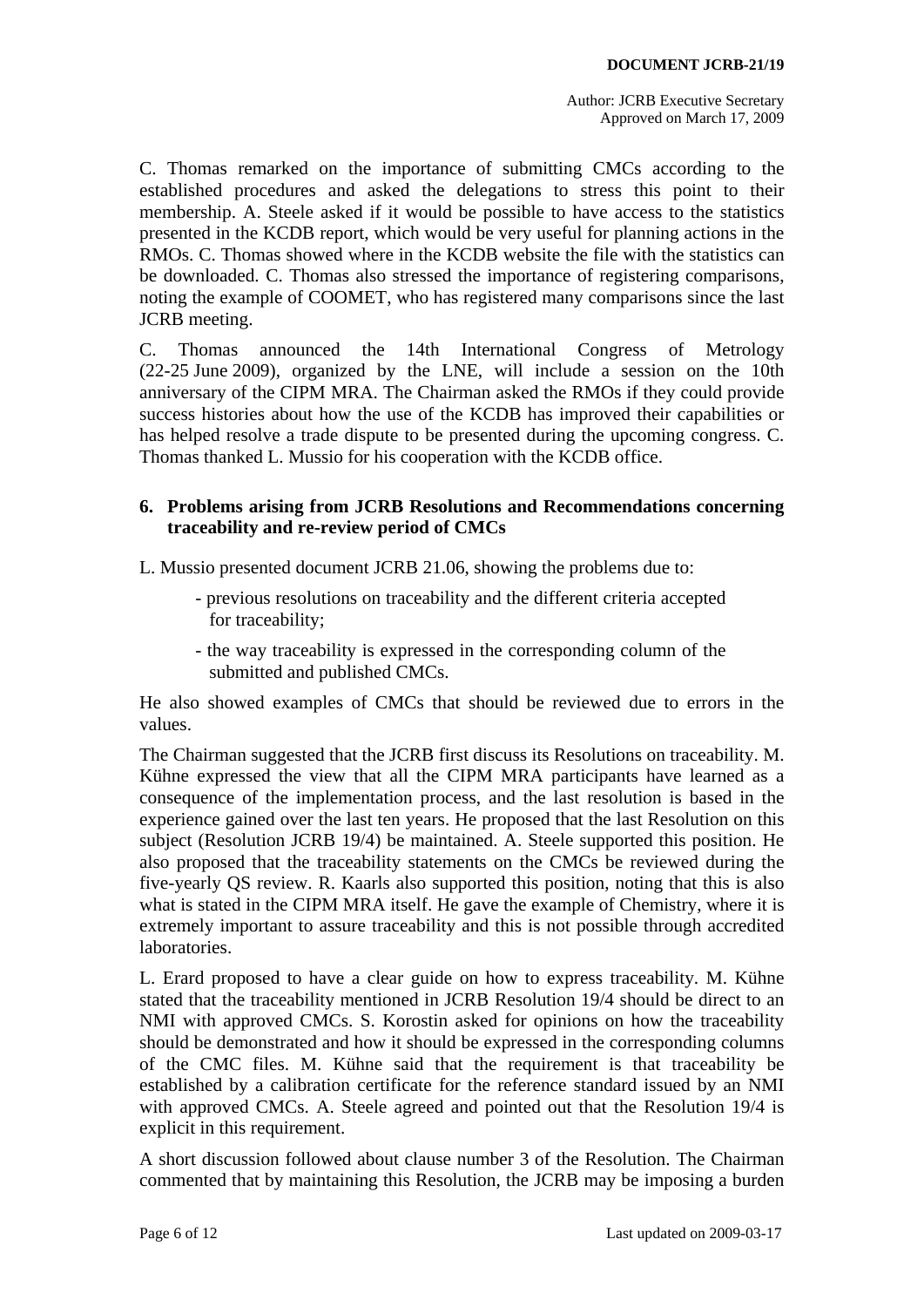C. Thomas remarked on the importance of submitting CMCs according to the established procedures and asked the delegations to stress this point to their membership. A. Steele asked if it would be possible to have access to the statistics presented in the KCDB report, which would be very useful for planning actions in the RMOs. C. Thomas showed where in the KCDB website the file with the statistics can be downloaded. C. Thomas also stressed the importance of registering comparisons, noting the example of COOMET, who has registered many comparisons since the last JCRB meeting.

C. Thomas announced the 14th International Congress of Metrology (22-25 June 2009), organized by the LNE, will include a session on the 10th anniversary of the CIPM MRA. The Chairman asked the RMOs if they could provide success histories about how the use of the KCDB has improved their capabilities or has helped resolve a trade dispute to be presented during the upcoming congress. C. Thomas thanked L. Mussio for his cooperation with the KCDB office.

### <span id="page-5-0"></span>**6. Problems arising from JCRB Resolutions and Recommendations concerning traceability and re-review period of CMCs**

L. Mussio presented document JCRB 21.06, showing the problems due to:

- previous resolutions on traceability and the different criteria accepted for traceability;
- the way traceability is expressed in the corresponding column of the submitted and published CMCs.

He also showed examples of CMCs that should be reviewed due to errors in the values.

The Chairman suggested that the JCRB first discuss its Resolutions on traceability. M. Kühne expressed the view that all the CIPM MRA participants have learned as a consequence of the implementation process, and the last resolution is based in the experience gained over the last ten years. He proposed that the last Resolution on this subject (Resolution JCRB 19/4) be maintained. A. Steele supported this position. He also proposed that the traceability statements on the CMCs be reviewed during the five-yearly QS review. R. Kaarls also supported this position, noting that this is also what is stated in the CIPM MRA itself. He gave the example of Chemistry, where it is extremely important to assure traceability and this is not possible through accredited laboratories.

L. Erard proposed to have a clear guide on how to express traceability. M. Kühne stated that the traceability mentioned in JCRB Resolution 19/4 should be direct to an NMI with approved CMCs. S. Korostin asked for opinions on how the traceability should be demonstrated and how it should be expressed in the corresponding columns of the CMC files. M. Kühne said that the requirement is that traceability be established by a calibration certificate for the reference standard issued by an NMI with approved CMCs. A. Steele agreed and pointed out that the Resolution 19/4 is explicit in this requirement.

A short discussion followed about clause number 3 of the Resolution. The Chairman commented that by maintaining this Resolution, the JCRB may be imposing a burden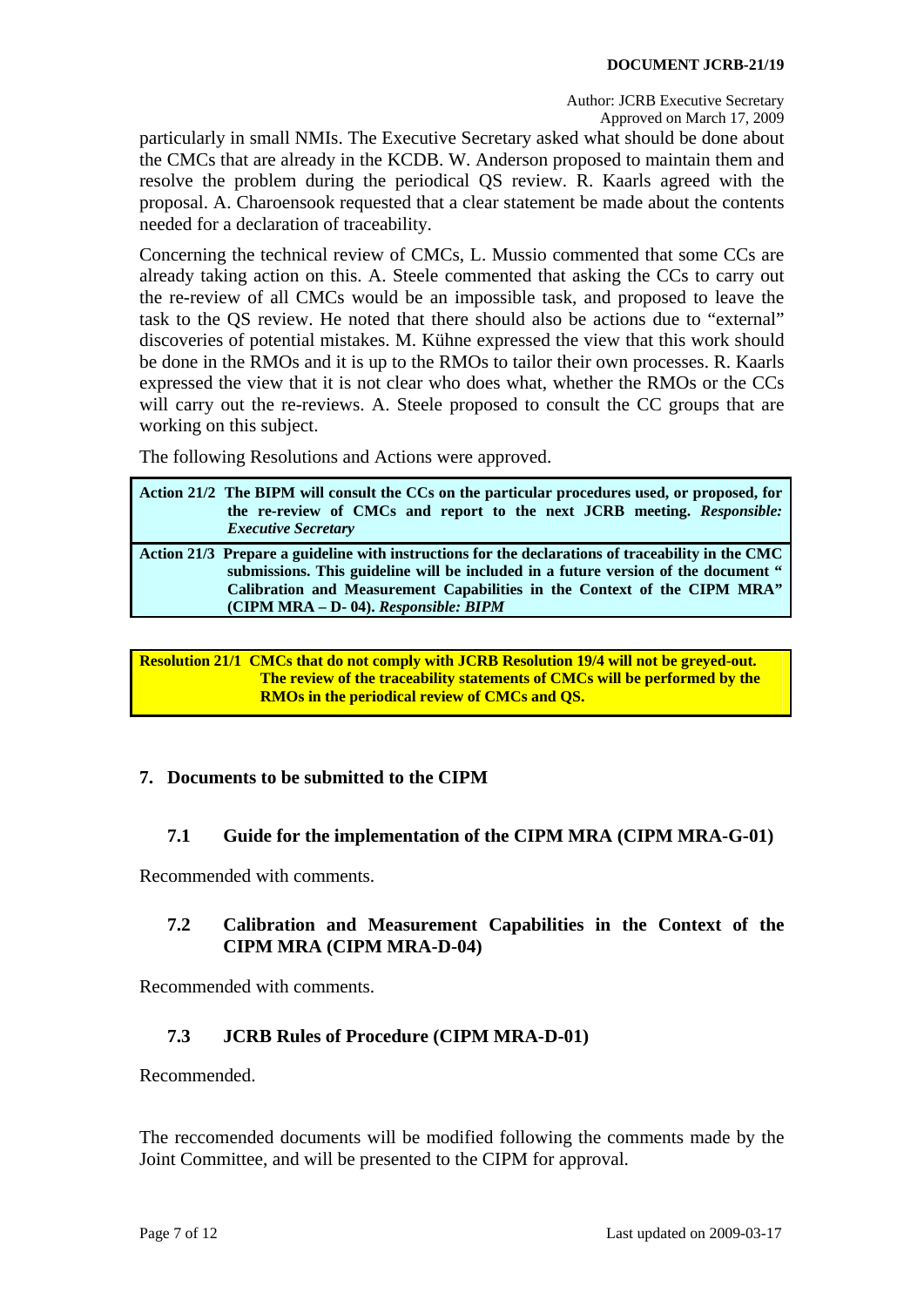particularly in small NMIs. The Executive Secretary asked what should be done about the CMCs that are already in the KCDB. W. Anderson proposed to maintain them and resolve the problem during the periodical QS review. R. Kaarls agreed with the proposal. A. Charoensook requested that a clear statement be made about the contents needed for a declaration of traceability.

Concerning the technical review of CMCs, L. Mussio commented that some CCs are already taking action on this. A. Steele commented that asking the CCs to carry out the re-review of all CMCs would be an impossible task, and proposed to leave the task to the QS review. He noted that there should also be actions due to "external" discoveries of potential mistakes. M. Kühne expressed the view that this work should be done in the RMOs and it is up to the RMOs to tailor their own processes. R. Kaarls expressed the view that it is not clear who does what, whether the RMOs or the CCs will carry out the re-reviews. A. Steele proposed to consult the CC groups that are working on this subject.

The following Resolutions and Actions were approved.

<span id="page-6-5"></span><span id="page-6-4"></span>

| Action 21/2 The BIPM will consult the CCs on the particular procedures used, or proposed, for<br>the re-review of CMCs and report to the next JCRB meeting. Responsible:<br><b>Executive Secretary</b>                                                                                                       |
|--------------------------------------------------------------------------------------------------------------------------------------------------------------------------------------------------------------------------------------------------------------------------------------------------------------|
| Action 21/3 Prepare a guideline with instructions for the declarations of traceability in the CMC<br>submissions. This guideline will be included in a future version of the document "<br>Calibration and Measurement Capabilities in the Context of the CIPM MRA"<br>(CIPM MRA - D- 04). Responsible: BIPM |

<span id="page-6-6"></span>**Resolution 21/1 CMCs that do not comply with JCRB Resolution 19/4 will not be greyed-out. The review of the traceability statements of CMCs will be performed by the RMOs in the periodical review of CMCs and QS.** 

# <span id="page-6-0"></span>**7. Documents to be submitted to the CIPM**

#### **7.1 Guide for the implementation of the CIPM MRA (CIPM MRA-G-01)**

<span id="page-6-2"></span><span id="page-6-1"></span>Recommended with comments.

# **7.2 Calibration and Measurement Capabilities in the Context of the CIPM MRA (CIPM MRA-D-04)**

Recommended with comments.

# **7.3 JCRB Rules of Procedure (CIPM MRA-D-01)**

<span id="page-6-3"></span>Recommended.

The reccomended documents will be modified following the comments made by the Joint Committee, and will be presented to the CIPM for approval.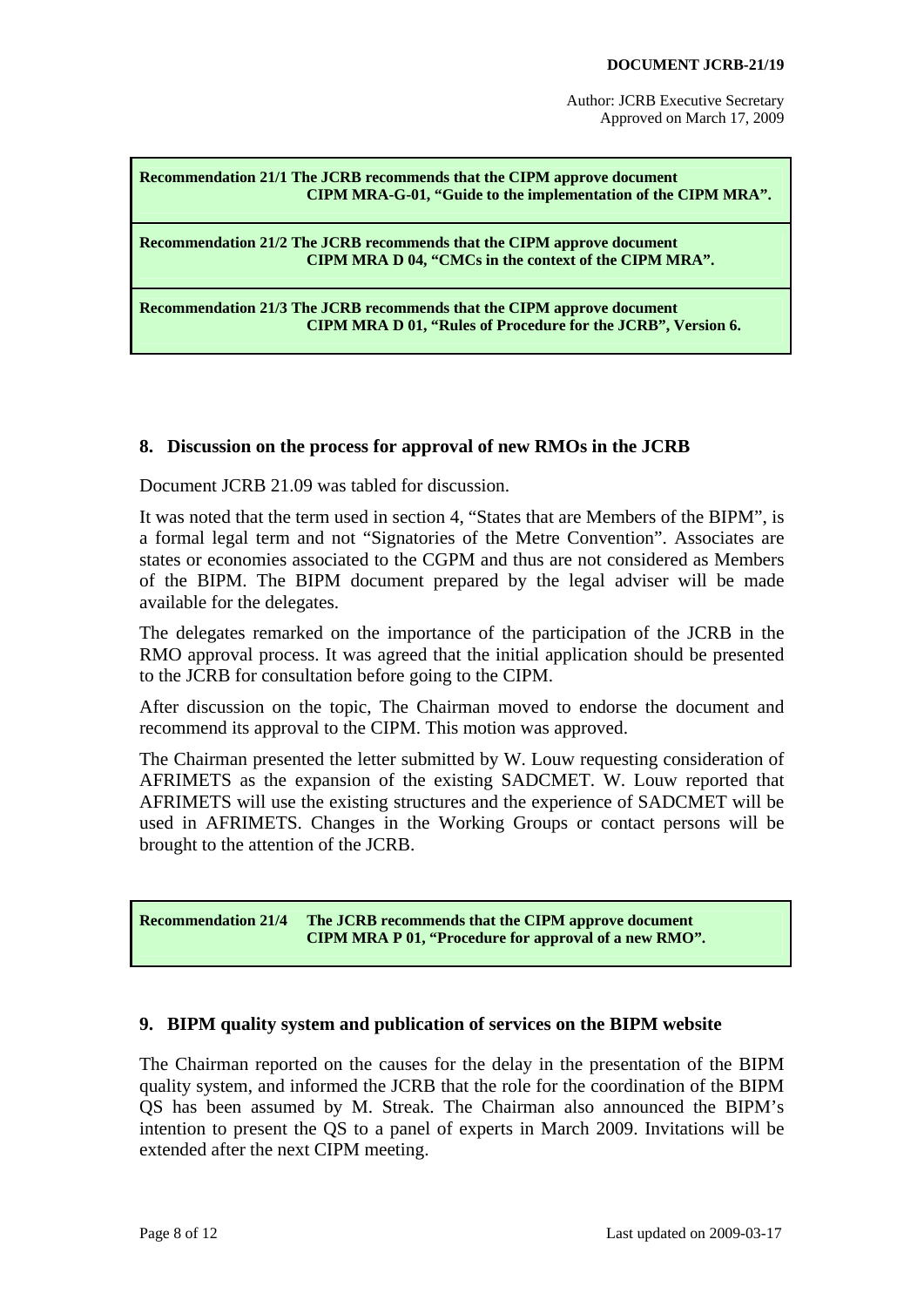#### <span id="page-7-2"></span>**Recommendation 21/1 The JCRB recommends that the CIPM approve document CIPM MRA-G-01, "Guide to the implementation of the CIPM MRA".**

<span id="page-7-3"></span>**Recommendation 21/2 The JCRB recommends that the CIPM approve document CIPM MRA D 04, "CMCs in the context of the CIPM MRA".** 

<span id="page-7-4"></span>**Recommendation 21/3 The JCRB recommends that the CIPM approve document CIPM MRA D 01, "Rules of Procedure for the JCRB", Version 6.** 

#### <span id="page-7-0"></span>**8. Discussion on the process for approval of new RMOs in the JCRB**

Document JCRB 21.09 was tabled for discussion.

It was noted that the term used in section 4, "States that are Members of the BIPM", is a formal legal term and not "Signatories of the Metre Convention". Associates are states or economies associated to the CGPM and thus are not considered as Members of the BIPM. The BIPM document prepared by the legal adviser will be made available for the delegates.

The delegates remarked on the importance of the participation of the JCRB in the RMO approval process. It was agreed that the initial application should be presented to the JCRB for consultation before going to the CIPM.

After discussion on the topic, The Chairman moved to endorse the document and recommend its approval to the CIPM. This motion was approved.

The Chairman presented the letter submitted by W. Louw requesting consideration of AFRIMETS as the expansion of the existing SADCMET. W. Louw reported that AFRIMETS will use the existing structures and the experience of SADCMET will be used in AFRIMETS. Changes in the Working Groups or contact persons will be brought to the attention of the JCRB.

<span id="page-7-5"></span>**Recommendation 21/4 The JCRB recommends that the CIPM approve document CIPM MRA P 01, "Procedure for approval of a new RMO".** 

#### <span id="page-7-1"></span>**9. BIPM quality system and publication of services on the BIPM website**

The Chairman reported on the causes for the delay in the presentation of the BIPM quality system, and informed the JCRB that the role for the coordination of the BIPM QS has been assumed by M. Streak. The Chairman also announced the BIPM's intention to present the QS to a panel of experts in March 2009. Invitations will be extended after the next CIPM meeting.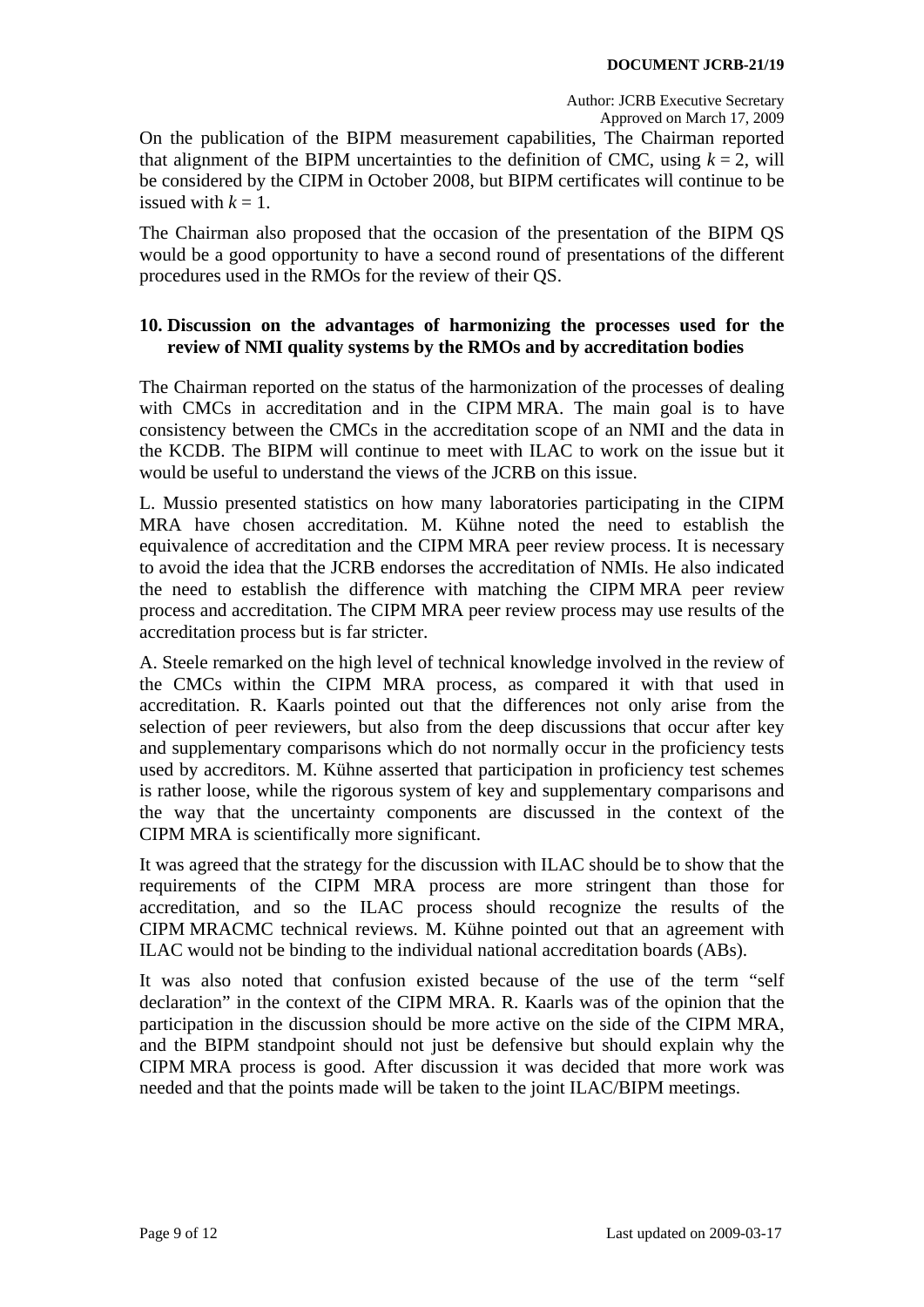On the publication of the BIPM measurement capabilities, The Chairman reported that alignment of the BIPM uncertainties to the definition of CMC, using  $k = 2$ , will be considered by the CIPM in October 2008, but BIPM certificates will continue to be issued with  $k = 1$ .

The Chairman also proposed that the occasion of the presentation of the BIPM QS would be a good opportunity to have a second round of presentations of the different procedures used in the RMOs for the review of their QS.

### <span id="page-8-0"></span>**10. Discussion on the advantages of harmonizing the processes used for the review of NMI quality systems by the RMOs and by accreditation bodies**

The Chairman reported on the status of the harmonization of the processes of dealing with CMCs in accreditation and in the CIPM MRA. The main goal is to have consistency between the CMCs in the accreditation scope of an NMI and the data in the KCDB. The BIPM will continue to meet with ILAC to work on the issue but it would be useful to understand the views of the JCRB on this issue.

L. Mussio presented statistics on how many laboratories participating in the CIPM MRA have chosen accreditation. M. Kühne noted the need to establish the equivalence of accreditation and the CIPM MRA peer review process. It is necessary to avoid the idea that the JCRB endorses the accreditation of NMIs. He also indicated the need to establish the difference with matching the CIPM MRA peer review process and accreditation. The CIPM MRA peer review process may use results of the accreditation process but is far stricter.

A. Steele remarked on the high level of technical knowledge involved in the review of the CMCs within the CIPM MRA process, as compared it with that used in accreditation. R. Kaarls pointed out that the differences not only arise from the selection of peer reviewers, but also from the deep discussions that occur after key and supplementary comparisons which do not normally occur in the proficiency tests used by accreditors. M. Kühne asserted that participation in proficiency test schemes is rather loose, while the rigorous system of key and supplementary comparisons and the way that the uncertainty components are discussed in the context of the CIPM MRA is scientifically more significant.

It was agreed that the strategy for the discussion with ILAC should be to show that the requirements of the CIPM MRA process are more stringent than those for accreditation, and so the ILAC process should recognize the results of the CIPM MRACMC technical reviews. M. Kühne pointed out that an agreement with ILAC would not be binding to the individual national accreditation boards (ABs).

It was also noted that confusion existed because of the use of the term "self declaration" in the context of the CIPM MRA. R. Kaarls was of the opinion that the participation in the discussion should be more active on the side of the CIPM MRA, and the BIPM standpoint should not just be defensive but should explain why the CIPM MRA process is good. After discussion it was decided that more work was needed and that the points made will be taken to the joint ILAC/BIPM meetings.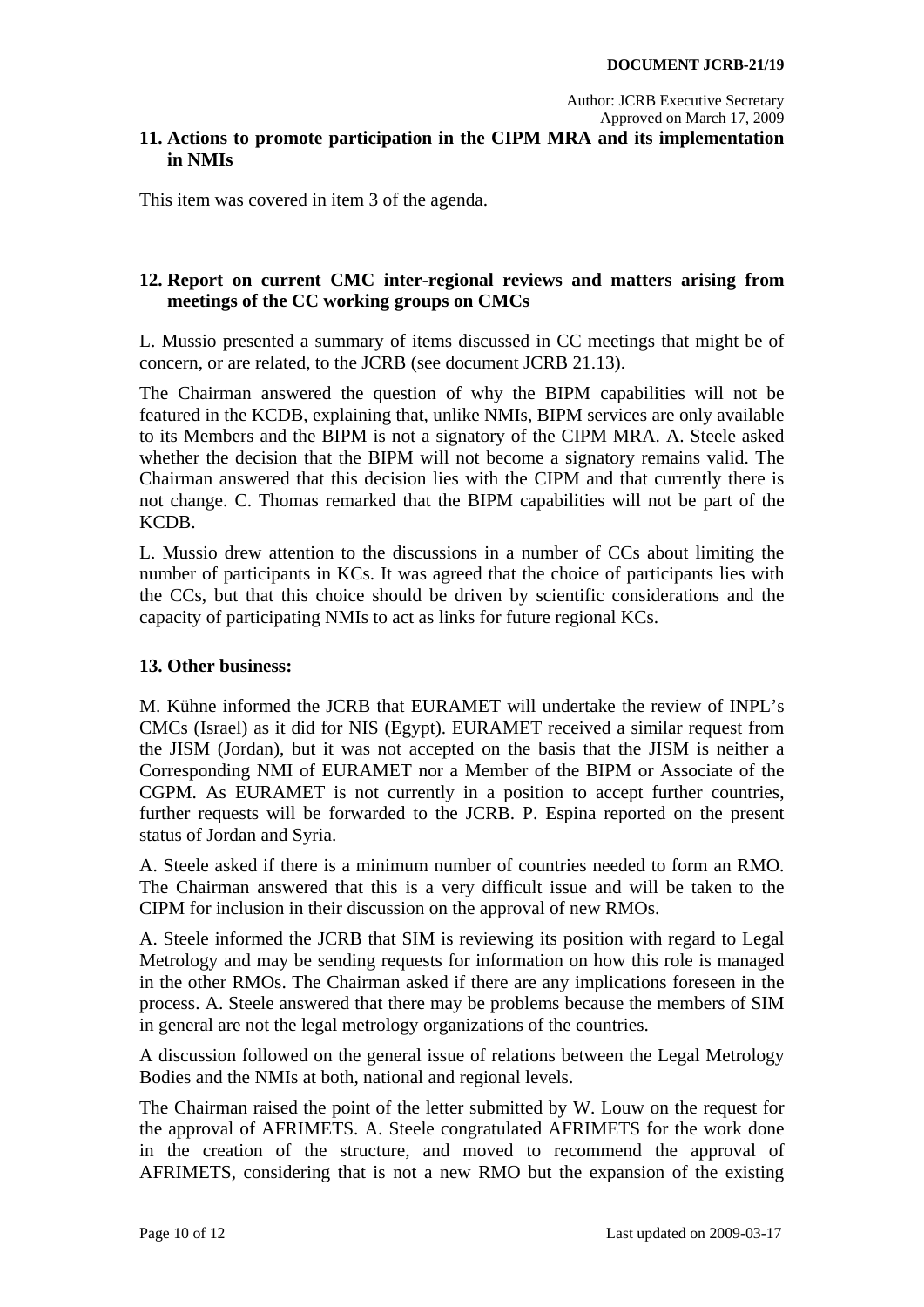### <span id="page-9-0"></span>**11. Actions to promote participation in the CIPM MRA and its implementation in NMIs**

This item was covered in item 3 of the agenda.

### <span id="page-9-1"></span>**12. Report on current CMC inter-regional reviews and matters arising from meetings of the CC working groups on CMCs**

L. Mussio presented a summary of items discussed in CC meetings that might be of concern, or are related, to the JCRB (see document JCRB 21.13).

The Chairman answered the question of why the BIPM capabilities will not be featured in the KCDB, explaining that, unlike NMIs, BIPM services are only available to its Members and the BIPM is not a signatory of the CIPM MRA. A. Steele asked whether the decision that the BIPM will not become a signatory remains valid. The Chairman answered that this decision lies with the CIPM and that currently there is not change. C. Thomas remarked that the BIPM capabilities will not be part of the KCDB.

L. Mussio drew attention to the discussions in a number of CCs about limiting the number of participants in KCs. It was agreed that the choice of participants lies with the CCs, but that this choice should be driven by scientific considerations and the capacity of participating NMIs to act as links for future regional KCs.

#### <span id="page-9-2"></span>**13. Other business:**

M. Kühne informed the JCRB that EURAMET will undertake the review of INPL's CMCs (Israel) as it did for NIS (Egypt). EURAMET received a similar request from the JISM (Jordan), but it was not accepted on the basis that the JISM is neither a Corresponding NMI of EURAMET nor a Member of the BIPM or Associate of the CGPM. As EURAMET is not currently in a position to accept further countries, further requests will be forwarded to the JCRB. P. Espina reported on the present status of Jordan and Syria.

A. Steele asked if there is a minimum number of countries needed to form an RMO. The Chairman answered that this is a very difficult issue and will be taken to the CIPM for inclusion in their discussion on the approval of new RMOs.

A. Steele informed the JCRB that SIM is reviewing its position with regard to Legal Metrology and may be sending requests for information on how this role is managed in the other RMOs. The Chairman asked if there are any implications foreseen in the process. A. Steele answered that there may be problems because the members of SIM in general are not the legal metrology organizations of the countries.

A discussion followed on the general issue of relations between the Legal Metrology Bodies and the NMIs at both, national and regional levels.

The Chairman raised the point of the letter submitted by W. Louw on the request for the approval of AFRIMETS. A. Steele congratulated AFRIMETS for the work done in the creation of the structure, and moved to recommend the approval of AFRIMETS, considering that is not a new RMO but the expansion of the existing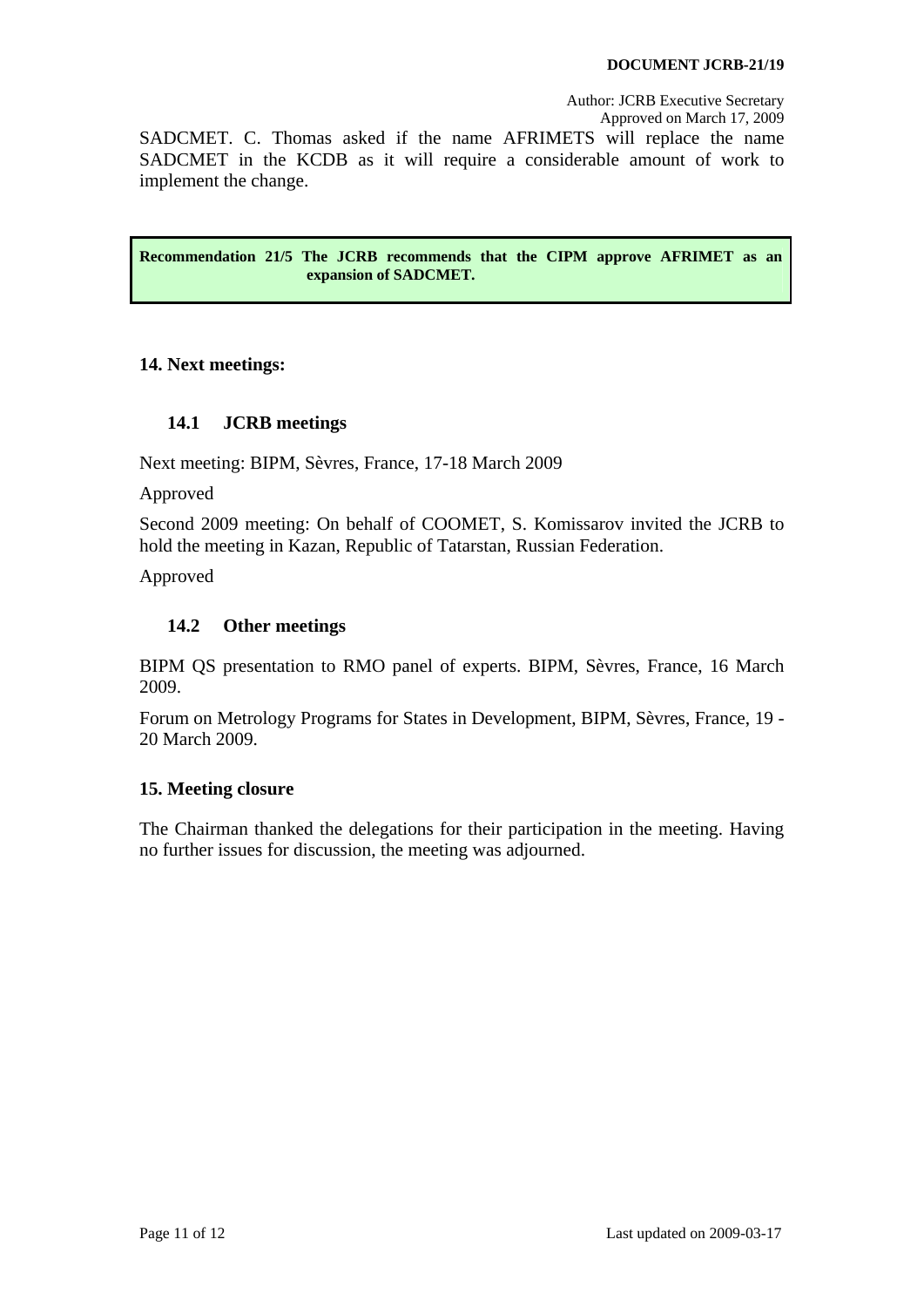Author: JCRB Executive Secretary

Approved on March 17, 2009

SADCMET. C. Thomas asked if the name AFRIMETS will replace the name SADCMET in the KCDB as it will require a considerable amount of work to implement the change.

<span id="page-10-4"></span>**Recommendation 21/5 The JCRB recommends that the CIPM approve AFRIMET as an expansion of SADCMET.** 

#### <span id="page-10-0"></span>**14. Next meetings:**

#### **14.1 JCRB meetings**

<span id="page-10-1"></span>Next meeting: BIPM, Sèvres, France, 17-18 March 2009

Approved

Second 2009 meeting: On behalf of COOMET, S. Komissarov invited the JCRB to hold the meeting in Kazan, Republic of Tatarstan, Russian Federation.

Approved

#### **14.2 Other meetings**

<span id="page-10-2"></span>BIPM QS presentation to RMO panel of experts. BIPM, Sèvres, France, 16 March 2009.

Forum on Metrology Programs for States in Development, BIPM, Sèvres, France, 19 - 20 March 2009.

#### <span id="page-10-3"></span>**15. Meeting closure**

The Chairman thanked the delegations for their participation in the meeting. Having no further issues for discussion, the meeting was adjourned.